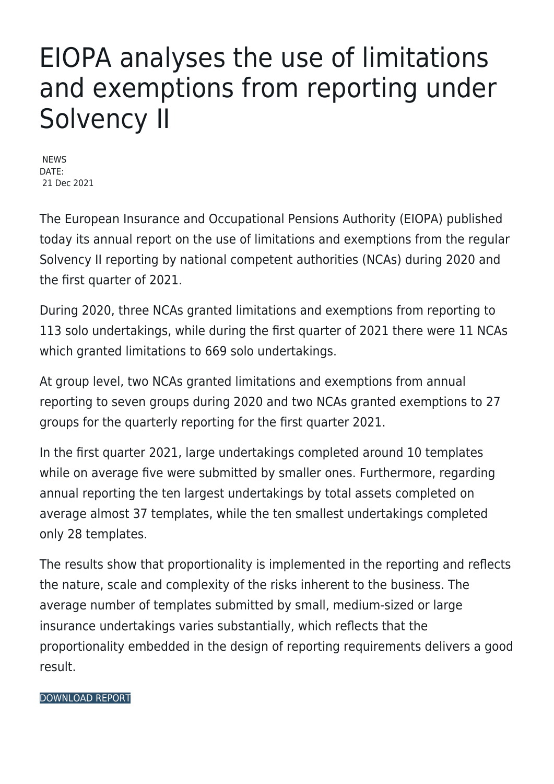## EIOPA analyses the use of limitations and exemptions from reporting under Solvency II

**NEWS** DATE: 21 Dec 2021

The European Insurance and Occupational Pensions Authority (EIOPA) published today its annual report on the use of limitations and exemptions from the regular Solvency II reporting by national competent authorities (NCAs) during 2020 and the first quarter of 2021.

During 2020, three NCAs granted limitations and exemptions from reporting to 113 solo undertakings, while during the first quarter of 2021 there were 11 NCAs which granted limitations to 669 solo undertakings.

At group level, two NCAs granted limitations and exemptions from annual reporting to seven groups during 2020 and two NCAs granted exemptions to 27 groups for the quarterly reporting for the first quarter 2021.

In the first quarter 2021, large undertakings completed around 10 templates while on average five were submitted by smaller ones. Furthermore, regarding annual reporting the ten largest undertakings by total assets completed on average almost 37 templates, while the ten smallest undertakings completed only 28 templates.

The results show that proportionality is implemented in the reporting and reflects the nature, scale and complexity of the risks inherent to the business. The average number of templates submitted by small, medium-sized or large insurance undertakings varies substantially, which reflects that the proportionality embedded in the design of reporting requirements delivers a good result.

## [DOWNLOAD REPORT](https://www.eiopa.europa.eu/sites/default/files/publications/reports/report_on_limitations_and_exemptions_during_2020_and_q1_2021.pdf)